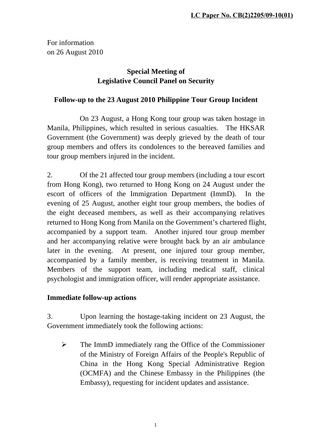For information on 26 August 2010

# **Special Meeting of Legislative Council Panel on Security**

### **Follow-up to the 23 August 2010 Philippine Tour Group Incident**

 On 23 August, a Hong Kong tour group was taken hostage in Manila, Philippines, which resulted in serious casualties. The HKSAR Government (the Government) was deeply grieved by the death of tour group members and offers its condolences to the bereaved families and tour group members injured in the incident.

2. Of the 21 affected tour group members (including a tour escort from Hong Kong), two returned to Hong Kong on 24 August under the escort of officers of the Immigration Department (ImmD). In the evening of 25 August, another eight tour group members, the bodies of the eight deceased members, as well as their accompanying relatives returned to Hong Kong from Manila on the Government's chartered flight, accompanied by a support team. Another injured tour group member and her accompanying relative were brought back by an air ambulance later in the evening. At present, one injured tour group member, accompanied by a family member, is receiving treatment in Manila. Members of the support team, including medical staff, clinical psychologist and immigration officer, will render appropriate assistance.

### **Immediate follow-up actions**

3. Upon learning the hostage-taking incident on 23 August, the Government immediately took the following actions:

 $\triangleright$  The ImmD immediately rang the Office of the Commissioner of the Ministry of Foreign Affairs of the People's Republic of China in the Hong Kong Special Administrative Region (OCMFA) and the Chinese Embassy in the Philippines (the Embassy), requesting for incident updates and assistance.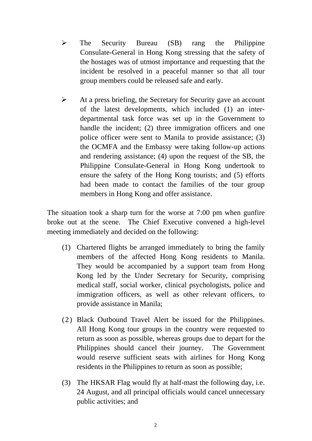- $\triangleright$  The Security Bureau (SB) rang the Philippine Consulate-General in Hong Kong stressing that the safety of the hostages was of utmost importance and requesting that the incident be resolved in a peaceful manner so that all tour group members could be released safe and early.
- $\triangleright$  At a press briefing, the Secretary for Security gave an account of the latest developments, which included (1) an interdepartmental task force was set up in the Government to handle the incident; (2) three immigration officers and one police officer were sent to Manila to provide assistance; (3) the OCMFA and the Embassy were taking follow-up actions and rendering assistance; (4) upon the request of the SB, the Philippine Consulate-General in Hong Kong undertook to ensure the safety of the Hong Kong tourists; and (5) efforts had been made to contact the families of the tour group members in Hong Kong and offer assistance.

The situation took a sharp turn for the worse at 7:00 pm when gunfire broke out at the scene. The Chief Executive convened a high-level meeting immediately and decided on the following:

- (1) Chartered flights be arranged immediately to bring the family members of the affected Hong Kong residents to Manila. They would be accompanied by a support team from Hong Kong led by the Under Secretary for Security, comprising medical staff, social worker, clinical psychologists, police and immigration officers, as well as other relevant officers, to provide assistance in Manila;
- (2) Black Outbound Travel Alert be issued for the Philippines. All Hong Kong tour groups in the country were requested to return as soon as possible, whereas groups due to depart for the Philippines should cancel their journey. The Government would reserve sufficient seats with airlines for Hong Kong residents in the Philippines to return as soon as possible;
- (3) The HKSAR Flag would fly at half-mast the following day, i.e. 24 August, and all principal officials would cancel unnecessary public activities; and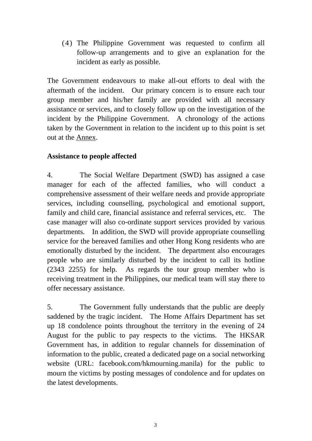(4) The Philippine Government was requested to confirm all follow-up arrangements and to give an explanation for the incident as early as possible.

The Government endeavours to make all-out efforts to deal with the aftermath of the incident. Our primary concern is to ensure each tour group member and his/her family are provided with all necessary assistance or services, and to closely follow up on the investigation of the incident by the Philippine Government. A chronology of the actions taken by the Government in relation to the incident up to this point is set out at the Annex.

### **Assistance to people affected**

4. The Social Welfare Department (SWD) has assigned a case manager for each of the affected families, who will conduct a comprehensive assessment of their welfare needs and provide appropriate services, including counselling, psychological and emotional support, family and child care, financial assistance and referral services, etc. The case manager will also co-ordinate support services provided by various departments. In addition, the SWD will provide appropriate counselling service for the bereaved families and other Hong Kong residents who are emotionally disturbed by the incident. The department also encourages people who are similarly disturbed by the incident to call its hotline (2343 2255) for help. As regards the tour group member who is receiving treatment in the Philippines, our medical team will stay there to offer necessary assistance.

5. The Government fully understands that the public are deeply saddened by the tragic incident. The Home Affairs Department has set up 18 condolence points throughout the territory in the evening of 24 August for the public to pay respects to the victims. The HKSAR Government has, in addition to regular channels for dissemination of information to the public, created a dedicated page on a social networking website (URL: facebook.com/hkmourning.manila) for the public to mourn the victims by posting messages of condolence and for updates on the latest developments.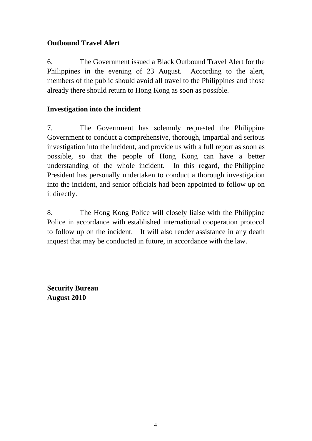## **Outbound Travel Alert**

6. The Government issued a Black Outbound Travel Alert for the Philippines in the evening of 23 August. According to the alert, members of the public should avoid all travel to the Philippines and those already there should return to Hong Kong as soon as possible.

### **Investigation into the incident**

7. The Government has solemnly requested the Philippine Government to conduct a comprehensive, thorough, impartial and serious investigation into the incident, and provide us with a full report as soon as possible, so that the people of Hong Kong can have a better understanding of the whole incident. In this regard, the Philippine President has personally undertaken to conduct a thorough investigation into the incident, and senior officials had been appointed to follow up on it directly.

8. The Hong Kong Police will closely liaise with the Philippine Police in accordance with established international cooperation protocol to follow up on the incident. It will also render assistance in any death inquest that may be conducted in future, in accordance with the law.

**Security Bureau August 2010**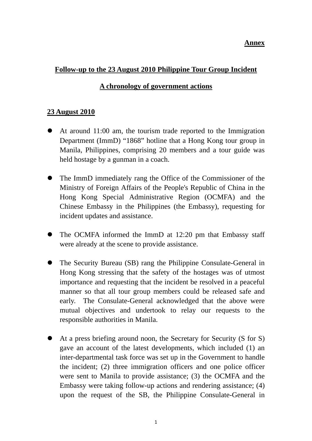#### **Annex**

#### **Follow-up to the 23 August 2010 Philippine Tour Group Incident**

#### **A chronology of government actions**

#### **23 August 2010**

- At around 11:00 am, the tourism trade reported to the Immigration Department (ImmD) "1868" hotline that a Hong Kong tour group in Manila, Philippines, comprising 20 members and a tour guide was held hostage by a gunman in a coach.
- The ImmD immediately rang the Office of the Commissioner of the Ministry of Foreign Affairs of the People's Republic of China in the Hong Kong Special Administrative Region (OCMFA) and the Chinese Embassy in the Philippines (the Embassy), requesting for incident updates and assistance.
- The OCMFA informed the ImmD at 12:20 pm that Embassy staff were already at the scene to provide assistance.
- The Security Bureau (SB) rang the Philippine Consulate-General in Hong Kong stressing that the safety of the hostages was of utmost importance and requesting that the incident be resolved in a peaceful manner so that all tour group members could be released safe and early. The Consulate-General acknowledged that the above were mutual objectives and undertook to relay our requests to the responsible authorities in Manila.
- At a press briefing around noon, the Secretary for Security (S for S) gave an account of the latest developments, which included (1) an inter-departmental task force was set up in the Government to handle the incident; (2) three immigration officers and one police officer were sent to Manila to provide assistance; (3) the OCMFA and the Embassy were taking follow-up actions and rendering assistance; (4) upon the request of the SB, the Philippine Consulate-General in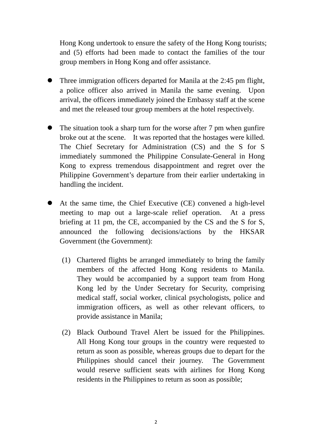Hong Kong undertook to ensure the safety of the Hong Kong tourists; and (5) efforts had been made to contact the families of the tour group members in Hong Kong and offer assistance.

- Three immigration officers departed for Manila at the 2:45 pm flight, a police officer also arrived in Manila the same evening. Upon arrival, the officers immediately joined the Embassy staff at the scene and met the released tour group members at the hotel respectively.
- The situation took a sharp turn for the worse after 7 pm when gunfire broke out at the scene. It was reported that the hostages were killed. The Chief Secretary for Administration (CS) and the S for S immediately summoned the Philippine Consulate-General in Hong Kong to express tremendous disappointment and regret over the Philippine Government's departure from their earlier undertaking in handling the incident.
- At the same time, the Chief Executive (CE) convened a high-level meeting to map out a large-scale relief operation. At a press briefing at 11 pm, the CE, accompanied by the CS and the S for S, announced the following decisions/actions by the HKSAR Government (the Government):
	- (1) Chartered flights be arranged immediately to bring the family members of the affected Hong Kong residents to Manila. They would be accompanied by a support team from Hong Kong led by the Under Secretary for Security, comprising medical staff, social worker, clinical psychologists, police and immigration officers, as well as other relevant officers, to provide assistance in Manila;
	- (2) Black Outbound Travel Alert be issued for the Philippines. All Hong Kong tour groups in the country were requested to return as soon as possible, whereas groups due to depart for the Philippines should cancel their journey. The Government would reserve sufficient seats with airlines for Hong Kong residents in the Philippines to return as soon as possible;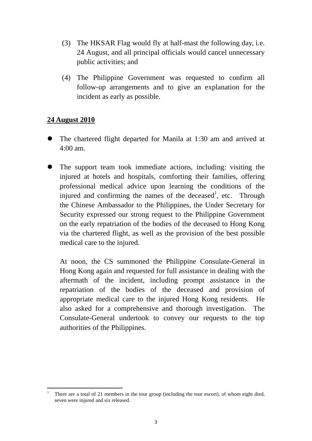- (3) The HKSAR Flag would fly at half-mast the following day, i.e. 24 August, and all principal officials would cancel unnecessary public activities; and
- (4) The Philippine Government was requested to confirm all follow-up arrangements and to give an explanation for the incident as early as possible.

#### **24 August 2010**

- The chartered flight departed for Manila at 1:30 am and arrived at 4:00 am.
- The support team took immediate actions, including: visiting the injured at hotels and hospitals, comforting their families, offering professional medical advice upon learning the conditions of the injured and confirming the names of the deceased<sup>1</sup>, etc. Through the Chinese Ambassador to the Philippines, the Under Secretary for Security expressed our strong request to the Philippine Government on the early repatriation of the bodies of the deceased to Hong Kong via the chartered flight, as well as the provision of the best possible medical care to the injured.

At noon, the CS summoned the Philippine Consulate-General in Hong Kong again and requested for full assistance in dealing with the aftermath of the incident, including prompt assistance in the repatriation of the bodies of the deceased and provision of appropriate medical care to the injured Hong Kong residents. He also asked for a comprehensive and thorough investigation. The Consulate-General undertook to convey our requests to the top authorities of the Philippines.

 1 There are a total of 21 members in the tour group (including the tour escort), of whom eight died, seven were injured and six released.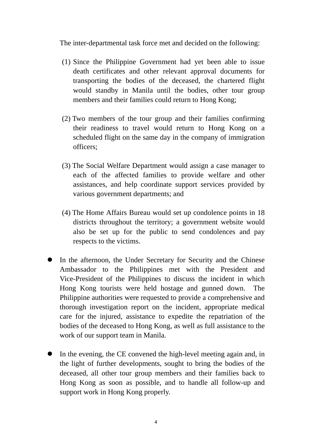The inter-departmental task force met and decided on the following:

- (1) Since the Philippine Government had yet been able to issue death certificates and other relevant approval documents for transporting the bodies of the deceased, the chartered flight would standby in Manila until the bodies, other tour group members and their families could return to Hong Kong;
- (2) Two members of the tour group and their families confirming their readiness to travel would return to Hong Kong on a scheduled flight on the same day in the company of immigration officers;
- (3) The Social Welfare Department would assign a case manager to each of the affected families to provide welfare and other assistances, and help coordinate support services provided by various government departments; and
- (4) The Home Affairs Bureau would set up condolence points in 18 districts throughout the territory; a government website would also be set up for the public to send condolences and pay respects to the victims.
- In the afternoon, the Under Secretary for Security and the Chinese Ambassador to the Philippines met with the President and Vice-President of the Philippines to discuss the incident in which Hong Kong tourists were held hostage and gunned down. The Philippine authorities were requested to provide a comprehensive and thorough investigation report on the incident, appropriate medical care for the injured, assistance to expedite the repatriation of the bodies of the deceased to Hong Kong, as well as full assistance to the work of our support team in Manila.
- In the evening, the CE convened the high-level meeting again and, in the light of further developments, sought to bring the bodies of the deceased, all other tour group members and their families back to Hong Kong as soon as possible, and to handle all follow-up and support work in Hong Kong properly.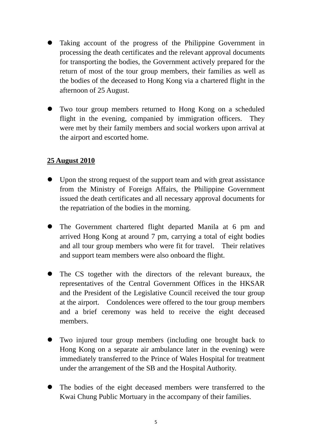- Taking account of the progress of the Philippine Government in processing the death certificates and the relevant approval documents for transporting the bodies, the Government actively prepared for the return of most of the tour group members, their families as well as the bodies of the deceased to Hong Kong via a chartered flight in the afternoon of 25 August.
- Two tour group members returned to Hong Kong on a scheduled flight in the evening, companied by immigration officers. They were met by their family members and social workers upon arrival at the airport and escorted home.

#### **25 August 2010**

- Upon the strong request of the support team and with great assistance from the Ministry of Foreign Affairs, the Philippine Government issued the death certificates and all necessary approval documents for the repatriation of the bodies in the morning.
- The Government chartered flight departed Manila at 6 pm and arrived Hong Kong at around 7 pm, carrying a total of eight bodies and all tour group members who were fit for travel. Their relatives and support team members were also onboard the flight.
- The CS together with the directors of the relevant bureaux, the representatives of the Central Government Offices in the HKSAR and the President of the Legislative Council received the tour group at the airport. Condolences were offered to the tour group members and a brief ceremony was held to receive the eight deceased members.
- Two injured tour group members (including one brought back to Hong Kong on a separate air ambulance later in the evening) were immediately transferred to the Prince of Wales Hospital for treatment under the arrangement of the SB and the Hospital Authority.
- The bodies of the eight deceased members were transferred to the Kwai Chung Public Mortuary in the accompany of their families.